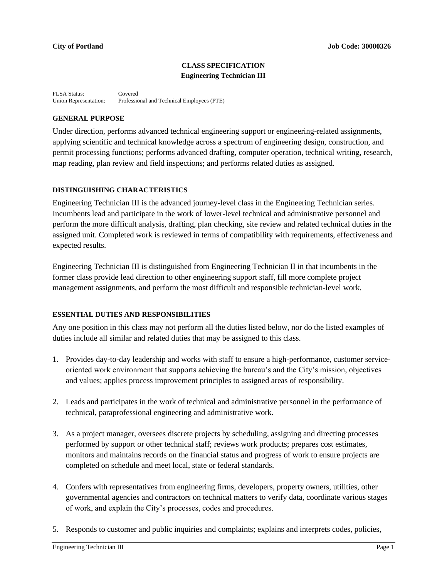## **CLASS SPECIFICATION Engineering Technician III**

FLSA Status: Covered<br>Union Representation: Professic Professional and Technical Employees (PTE)

## **GENERAL PURPOSE**

Under direction, performs advanced technical engineering support or engineering-related assignments, applying scientific and technical knowledge across a spectrum of engineering design, construction, and permit processing functions; performs advanced drafting, computer operation, technical writing, research, map reading, plan review and field inspections; and performs related duties as assigned.

## **DISTINGUISHING CHARACTERISTICS**

Engineering Technician III is the advanced journey-level class in the Engineering Technician series. Incumbents lead and participate in the work of lower-level technical and administrative personnel and perform the more difficult analysis, drafting, plan checking, site review and related technical duties in the assigned unit. Completed work is reviewed in terms of compatibility with requirements, effectiveness and expected results.

Engineering Technician III is distinguished from Engineering Technician II in that incumbents in the former class provide lead direction to other engineering support staff, fill more complete project management assignments, and perform the most difficult and responsible technician-level work.

## **ESSENTIAL DUTIES AND RESPONSIBILITIES**

Any one position in this class may not perform all the duties listed below, nor do the listed examples of duties include all similar and related duties that may be assigned to this class.

- 1. Provides day-to-day leadership and works with staff to ensure a high-performance, customer serviceoriented work environment that supports achieving the bureau's and the City's mission, objectives and values; applies process improvement principles to assigned areas of responsibility.
- 2. Leads and participates in the work of technical and administrative personnel in the performance of technical, paraprofessional engineering and administrative work.
- 3. As a project manager, oversees discrete projects by scheduling, assigning and directing processes performed by support or other technical staff; reviews work products; prepares cost estimates, monitors and maintains records on the financial status and progress of work to ensure projects are completed on schedule and meet local, state or federal standards.
- 4. Confers with representatives from engineering firms, developers, property owners, utilities, other governmental agencies and contractors on technical matters to verify data, coordinate various stages of work, and explain the City's processes, codes and procedures.
- 5. Responds to customer and public inquiries and complaints; explains and interprets codes, policies,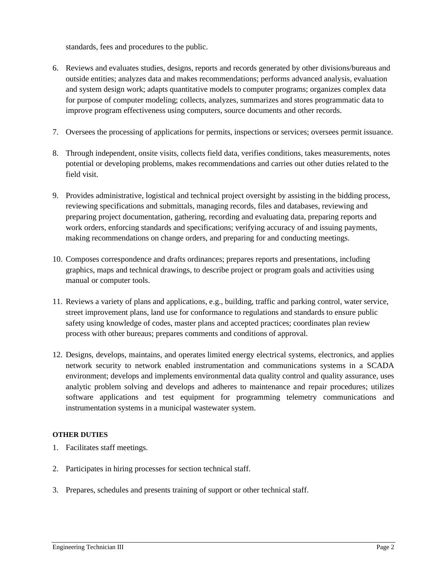standards, fees and procedures to the public.

- 6. Reviews and evaluates studies, designs, reports and records generated by other divisions/bureaus and outside entities; analyzes data and makes recommendations; performs advanced analysis, evaluation and system design work; adapts quantitative models to computer programs; organizes complex data for purpose of computer modeling; collects, analyzes, summarizes and stores programmatic data to improve program effectiveness using computers, source documents and other records.
- 7. Oversees the processing of applications for permits, inspections or services; oversees permit issuance.
- 8. Through independent, onsite visits, collects field data, verifies conditions, takes measurements, notes potential or developing problems, makes recommendations and carries out other duties related to the field visit.
- 9. Provides administrative, logistical and technical project oversight by assisting in the bidding process, reviewing specifications and submittals, managing records, files and databases, reviewing and preparing project documentation, gathering, recording and evaluating data, preparing reports and work orders, enforcing standards and specifications; verifying accuracy of and issuing payments, making recommendations on change orders, and preparing for and conducting meetings.
- 10. Composes correspondence and drafts ordinances; prepares reports and presentations, including graphics, maps and technical drawings, to describe project or program goals and activities using manual or computer tools.
- 11. Reviews a variety of plans and applications, e.g., building, traffic and parking control, water service, street improvement plans, land use for conformance to regulations and standards to ensure public safety using knowledge of codes, master plans and accepted practices; coordinates plan review process with other bureaus; prepares comments and conditions of approval.
- 12. Designs, develops, maintains, and operates limited energy electrical systems, electronics, and applies network security to network enabled instrumentation and communications systems in a SCADA environment; develops and implements environmental data quality control and quality assurance, uses analytic problem solving and develops and adheres to maintenance and repair procedures; utilizes software applications and test equipment for programming telemetry communications and instrumentation systems in a municipal wastewater system.

# **OTHER DUTIES**

- 1. Facilitates staff meetings.
- 2. Participates in hiring processes for section technical staff.
- 3. Prepares, schedules and presents training of support or other technical staff.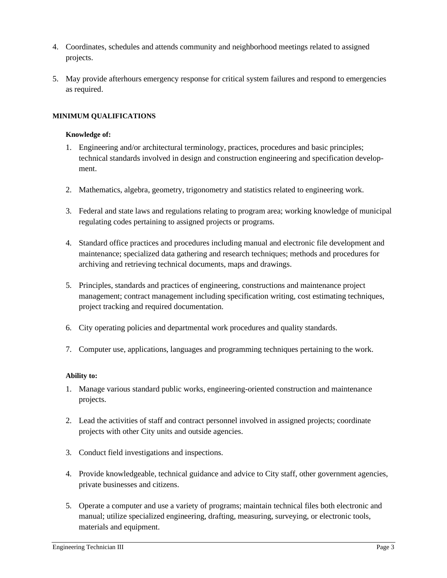- 4. Coordinates, schedules and attends community and neighborhood meetings related to assigned projects.
- 5. May provide afterhours emergency response for critical system failures and respond to emergencies as required.

## **MINIMUM QUALIFICATIONS**

#### **Knowledge of:**

- 1. Engineering and/or architectural terminology, practices, procedures and basic principles; technical standards involved in design and construction engineering and specification development.
- 2. Mathematics, algebra, geometry, trigonometry and statistics related to engineering work.
- 3. Federal and state laws and regulations relating to program area; working knowledge of municipal regulating codes pertaining to assigned projects or programs.
- 4. Standard office practices and procedures including manual and electronic file development and maintenance; specialized data gathering and research techniques; methods and procedures for archiving and retrieving technical documents, maps and drawings.
- 5. Principles, standards and practices of engineering, constructions and maintenance project management; contract management including specification writing, cost estimating techniques, project tracking and required documentation.
- 6. City operating policies and departmental work procedures and quality standards.
- 7. Computer use, applications, languages and programming techniques pertaining to the work.

## **Ability to:**

- 1. Manage various standard public works, engineering-oriented construction and maintenance projects.
- 2. Lead the activities of staff and contract personnel involved in assigned projects; coordinate projects with other City units and outside agencies.
- 3. Conduct field investigations and inspections.
- 4. Provide knowledgeable, technical guidance and advice to City staff, other government agencies, private businesses and citizens.
- 5. Operate a computer and use a variety of programs; maintain technical files both electronic and manual; utilize specialized engineering, drafting, measuring, surveying, or electronic tools, materials and equipment.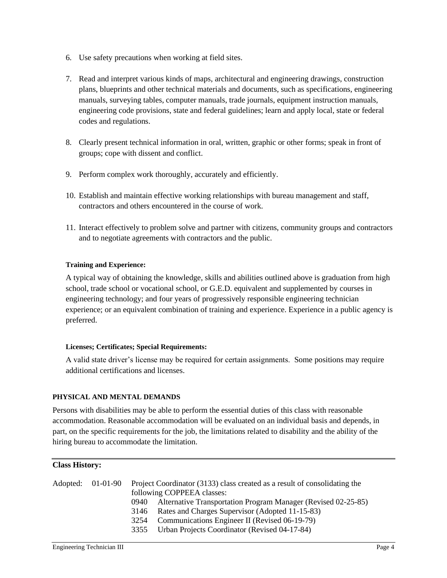- 6. Use safety precautions when working at field sites.
- 7. Read and interpret various kinds of maps, architectural and engineering drawings, construction plans, blueprints and other technical materials and documents, such as specifications, engineering manuals, surveying tables, computer manuals, trade journals, equipment instruction manuals, engineering code provisions, state and federal guidelines; learn and apply local, state or federal codes and regulations.
- 8. Clearly present technical information in oral, written, graphic or other forms; speak in front of groups; cope with dissent and conflict.
- 9. Perform complex work thoroughly, accurately and efficiently.
- 10. Establish and maintain effective working relationships with bureau management and staff, contractors and others encountered in the course of work.
- 11. Interact effectively to problem solve and partner with citizens, community groups and contractors and to negotiate agreements with contractors and the public.

## **Training and Experience:**

A typical way of obtaining the knowledge, skills and abilities outlined above is graduation from high school, trade school or vocational school, or G.E.D. equivalent and supplemented by courses in engineering technology; and four years of progressively responsible engineering technician experience; or an equivalent combination of training and experience. Experience in a public agency is preferred.

## **Licenses; Certificates; Special Requirements:**

A valid state driver's license may be required for certain assignments. Some positions may require additional certifications and licenses.

## **PHYSICAL AND MENTAL DEMANDS**

Persons with disabilities may be able to perform the essential duties of this class with reasonable accommodation. Reasonable accommodation will be evaluated on an individual basis and depends, in part, on the specific requirements for the job, the limitations related to disability and the ability of the hiring bureau to accommodate the limitation.

## **Class History:**

| Adopted: 01-01-90 | Project Coordinator (3133) class created as a result of consolidating the<br>following COPPEEA classes: |
|-------------------|---------------------------------------------------------------------------------------------------------|
|                   | Alternative Transportation Program Manager (Revised 02-25-85)<br>(940)                                  |
|                   | Rates and Charges Supervisor (Adopted 11-15-83)<br>3146                                                 |
|                   | Communications Engineer II (Revised 06-19-79)<br>3254                                                   |
|                   | Urban Projects Coordinator (Revised 04-17-84)<br>3355                                                   |
|                   |                                                                                                         |